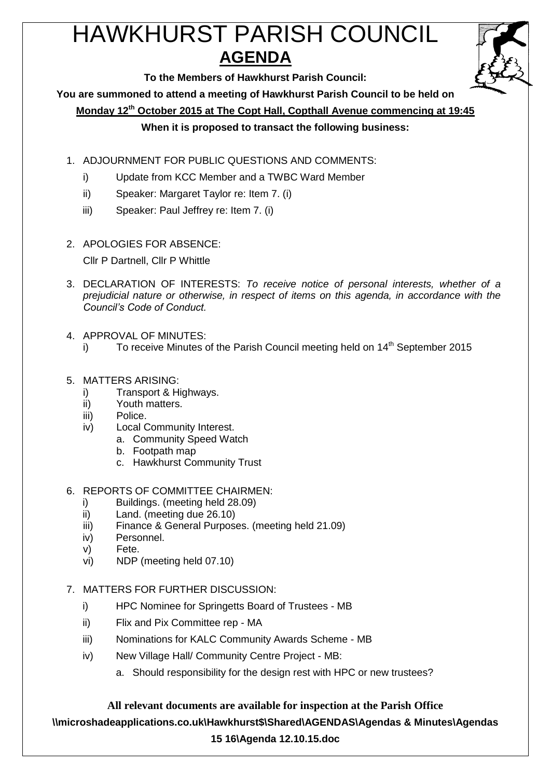# HAWKHURST PARISH COUNCIL **AGENDA**



**To the Members of Hawkhurst Parish Council:**

**You are summoned to attend a meeting of Hawkhurst Parish Council to be held on**

**Monday 12 th October 2015 at The Copt Hall, Copthall Avenue commencing at 19:45**

## **When it is proposed to transact the following business:**

- 1. ADJOURNMENT FOR PUBLIC QUESTIONS AND COMMENTS:
	- i) Update from KCC Member and a TWBC Ward Member
	- ii) Speaker: Margaret Taylor re: Item 7. (i)
	- iii) Speaker: Paul Jeffrey re: Item 7. (i)
- 2. APOLOGIES FOR ABSENCE:

Cllr P Dartnell, Cllr P Whittle

- 3. DECLARATION OF INTERESTS: *To receive notice of personal interests, whether of a prejudicial nature or otherwise, in respect of items on this agenda, in accordance with the Council's Code of Conduct.*
- 4. APPROVAL OF MINUTES:
	- i) To receive Minutes of the Parish Council meeting held on  $14<sup>th</sup>$  September 2015
- 5. MATTERS ARISING:
	- i) Transport & Highways.
	- ii) Youth matters.
	- iii) Police.
	- iv) Local Community Interest.
		- a. Community Speed Watch
		- b. Footpath map
		- c. Hawkhurst Community Trust
- 6. REPORTS OF COMMITTEE CHAIRMEN:
	- i) Buildings. (meeting held 28.09)
	- ii) Land. (meeting due 26.10)
	- iii) Finance & General Purposes. (meeting held 21.09)
	- iv) Personnel.
	- v) Fete.
	- vi) NDP (meeting held 07.10)
- 7. MATTERS FOR FURTHER DISCUSSION:
	- i) HPC Nominee for Springetts Board of Trustees MB
	- ii) Flix and Pix Committee rep MA
	- iii) Nominations for KALC Community Awards Scheme MB
	- iv) New Village Hall/ Community Centre Project MB:
		- a. Should responsibility for the design rest with HPC or new trustees?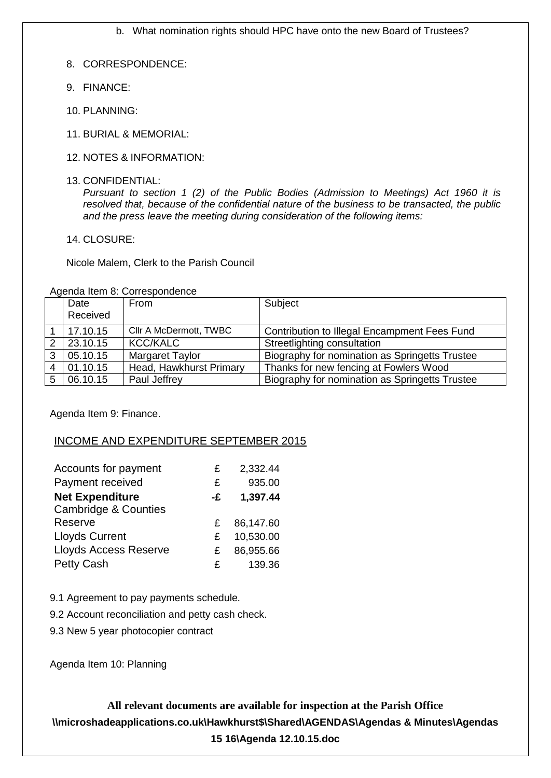b. What nomination rights should HPC have onto the new Board of Trustees?

- 8. CORRESPONDENCE:
- 9. FINANCE:
- 10. PLANNING:
- 11. BURIAL & MEMORIAL:
- 12. NOTES & INFORMATION:
- 13. CONFIDENTIAL:

*Pursuant to section 1 (2) of the Public Bodies (Admission to Meetings) Act 1960 it is resolved that, because of the confidential nature of the business to be transacted, the public and the press leave the meeting during consideration of the following items:*

14. CLOSURE:

Nicole Malem, Clerk to the Parish Council

Agenda Item 8: Correspondence

|   | Date     | From                    | Subject                                        |
|---|----------|-------------------------|------------------------------------------------|
|   | Received |                         |                                                |
|   | 17.10.15 | Cllr A McDermott, TWBC  | Contribution to Illegal Encampment Fees Fund   |
|   | 23.10.15 | <b>KCC/KALC</b>         | Streetlighting consultation                    |
|   | 05.10.15 | <b>Margaret Taylor</b>  | Biography for nomination as Springetts Trustee |
| 4 | 01.10.15 | Head, Hawkhurst Primary | Thanks for new fencing at Fowlers Wood         |
|   | 06.10.15 | Paul Jeffrey            | Biography for nomination as Springetts Trustee |

Agenda Item 9: Finance.

## INCOME AND EXPENDITURE SEPTEMBER 2015

| Accounts for payment            | £  | 2,332.44  |
|---------------------------------|----|-----------|
| Payment received                | £  | 935.00    |
| <b>Net Expenditure</b>          | -£ | 1,397.44  |
| <b>Cambridge &amp; Counties</b> |    |           |
| Reserve                         | £  | 86,147.60 |
| <b>Lloyds Current</b>           | £  | 10,530.00 |
| <b>Lloyds Access Reserve</b>    | £  | 86,955.66 |
| Petty Cash                      | £  | 139.36    |

9.1 Agreement to pay payments schedule.

9.2 Account reconciliation and petty cash check.

9.3 New 5 year photocopier contract

Agenda Item 10: Planning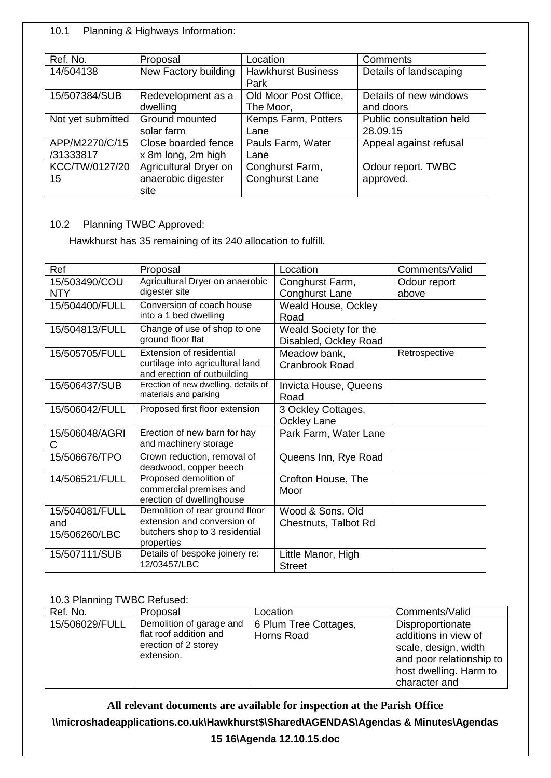## 10.1 Planning & Highways Information:

| Ref. No.          | Proposal              | Location                  | Comments                 |
|-------------------|-----------------------|---------------------------|--------------------------|
| 14/504138         | New Factory building  | <b>Hawkhurst Business</b> | Details of landscaping   |
|                   |                       | Park                      |                          |
| 15/507384/SUB     | Redevelopment as a    | Old Moor Post Office,     | Details of new windows   |
|                   | dwelling              | The Moor,                 | and doors                |
| Not yet submitted | Ground mounted        | Kemps Farm, Potters       | Public consultation held |
|                   | solar farm            | Lane                      | 28.09.15                 |
| APP/M2270/C/15    | Close boarded fence   | Pauls Farm, Water         | Appeal against refusal   |
| /31333817         | x 8m long, 2m high    | Lane                      |                          |
| KCC/TW/0127/20    | Agricultural Dryer on | Conghurst Farm,           | Odour report. TWBC       |
| 15                | anaerobic digester    | <b>Conghurst Lane</b>     | approved.                |
|                   | site                  |                           |                          |

# 10.2 Planning TWBC Approved:

Hawkhurst has 35 remaining of its 240 allocation to fulfill.

| Ref            | Proposal                                                       | Location              | Comments/Valid |
|----------------|----------------------------------------------------------------|-----------------------|----------------|
| 15/503490/COU  | Agricultural Dryer on anaerobic                                | Conghurst Farm,       | Odour report   |
| <b>NTY</b>     | digester site                                                  | <b>Conghurst Lane</b> | above          |
| 15/504400/FULL | Conversion of coach house                                      | Weald House, Ockley   |                |
|                | into a 1 bed dwelling                                          | Road                  |                |
| 15/504813/FULL | Change of use of shop to one                                   | Weald Society for the |                |
|                | ground floor flat                                              | Disabled, Ockley Road |                |
| 15/505705/FULL | Extension of residential                                       | Meadow bank,          | Retrospective  |
|                | curtilage into agricultural land                               | <b>Cranbrook Road</b> |                |
|                | and erection of outbuilding                                    |                       |                |
| 15/506437/SUB  | Erection of new dwelling, details of<br>materials and parking  | Invicta House, Queens |                |
|                |                                                                | Road                  |                |
| 15/506042/FULL | Proposed first floor extension                                 | 3 Ockley Cottages,    |                |
|                |                                                                | <b>Ockley Lane</b>    |                |
| 15/506048/AGRI | Erection of new barn for hay                                   | Park Farm, Water Lane |                |
| С              | and machinery storage                                          |                       |                |
| 15/506676/TPO  | Crown reduction, removal of                                    | Queens Inn, Rye Road  |                |
|                | deadwood, copper beech                                         |                       |                |
| 14/506521/FULL | Proposed demolition of                                         | Crofton House, The    |                |
|                | commercial premises and                                        | Moor                  |                |
|                | erection of dwellinghouse                                      |                       |                |
| 15/504081/FULL | Demolition of rear ground floor<br>extension and conversion of | Wood & Sons, Old      |                |
| and            | butchers shop to 3 residential                                 | Chestnuts, Talbot Rd  |                |
| 15/506260/LBC  | properties                                                     |                       |                |
| 15/507111/SUB  | Details of bespoke joinery re:                                 | Little Manor, High    |                |
|                | 12/03457/LBC                                                   | <b>Street</b>         |                |

## 10.3 Planning TWBC Refused:

| Ref. No.       | Proposal                                                                                 | Location                            | Comments/Valid                                                                                                                          |
|----------------|------------------------------------------------------------------------------------------|-------------------------------------|-----------------------------------------------------------------------------------------------------------------------------------------|
| 15/506029/FULL | Demolition of garage and<br>flat roof addition and<br>erection of 2 storey<br>extension. | 6 Plum Tree Cottages,<br>Horns Road | Disproportionate<br>additions in view of<br>scale, design, width<br>and poor relationship to<br>host dwelling. Harm to<br>character and |